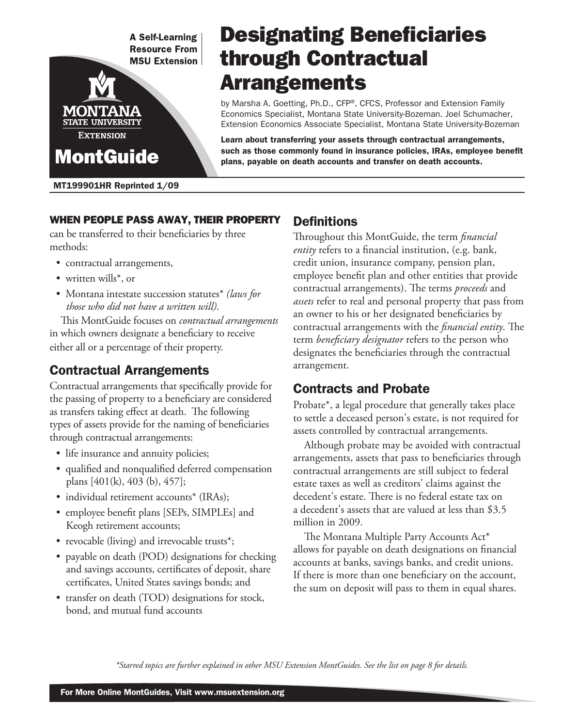**A Self-Learning Resource From MSU Extension** 



# Designating Beneficiaries through Contractual **Arrangements**

by Marsha A. Goetting, Ph.D., CFP®, CFCS, Professor and Extension Family Economics Specialist, Montana State University-Bozeman. Joel Schumacher, Extension Economics Associate Specialist, Montana State University-Bozeman

Learn about transferring your assets through contractual arrangements, such as those commonly found in insurance policies, IRAs, employee benefit plans, payable on death accounts and transfer on death accounts.

#### MT199901HR Reprinted 1/09

### When people pass away, their property

can be transferred to their beneficiaries by three methods:

- contractual arrangements,
- written wills<sup>\*</sup>, or
- Montana intestate succession statutes\* *(laws for those who did not have a written will)*.

This MontGuide focuses on *contractual arrangements* in which owners designate a beneficiary to receive either all or a percentage of their property.

# Contractual Arrangements

Contractual arrangements that specifically provide for the passing of property to a beneficiary are considered as transfers taking effect at death. The following types of assets provide for the naming of beneficiaries through contractual arrangements:

- life insurance and annuity policies;
- qualified and nonqualified deferred compensation plans [401(k), 403 (b), 457];
- individual retirement accounts<sup>\*</sup> (IRAs);
- employee benefit plans [SEPs, SIMPLEs] and Keogh retirement accounts;
- revocable (living) and irrevocable trusts\*;
- payable on death (POD) designations for checking and savings accounts, certificates of deposit, share certificates, United States savings bonds; and
- transfer on death (TOD) designations for stock, bond, and mutual fund accounts

### Definitions

Throughout this MontGuide, the term *financial entity* refers to a financial institution, (e.g. bank, credit union, insurance company, pension plan, employee benefit plan and other entities that provide contractual arrangements). The terms *proceeds* and *assets* refer to real and personal property that pass from an owner to his or her designated beneficiaries by contractual arrangements with the *financial entity*. The term *beneficiary designator* refers to the person who designates the beneficiaries through the contractual arrangement.

# Contracts and Probate

Probate\*, a legal procedure that generally takes place to settle a deceased person's estate, is not required for assets controlled by contractual arrangements.

Although probate may be avoided with contractual arrangements, assets that pass to beneficiaries through contractual arrangements are still subject to federal estate taxes as well as creditors' claims against the decedent's estate. There is no federal estate tax on a decedent's assets that are valued at less than \$3.5 million in 2009.

The Montana Multiple Party Accounts Act\* allows for payable on death designations on financial accounts at banks, savings banks, and credit unions. If there is more than one beneficiary on the account, the sum on deposit will pass to them in equal shares.

*\*Starred topics are further explained in other MSU Extension MontGuides. See the list on page 8 for details.*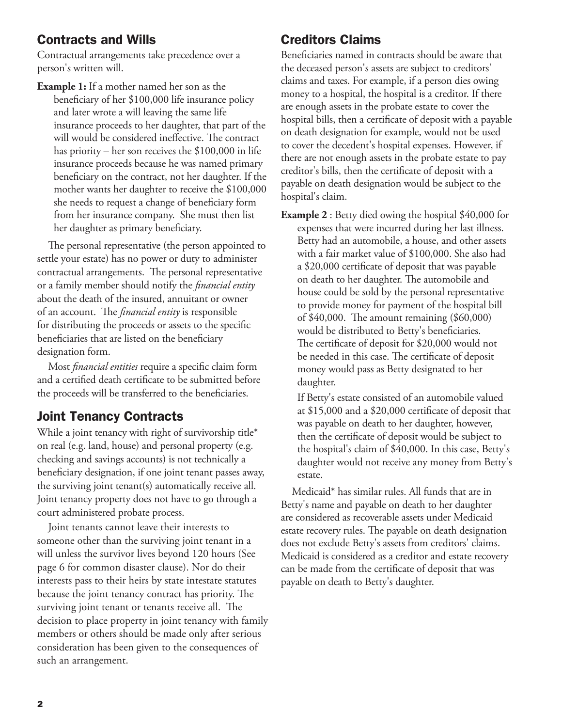# Contracts and Wills

Contractual arrangements take precedence over a person's written will.

**Example 1:** If a mother named her son as the beneficiary of her \$100,000 life insurance policy and later wrote a will leaving the same life insurance proceeds to her daughter, that part of the will would be considered ineffective. The contract has priority – her son receives the \$100,000 in life insurance proceeds because he was named primary beneficiary on the contract, not her daughter. If the mother wants her daughter to receive the \$100,000 she needs to request a change of beneficiary form from her insurance company. She must then list her daughter as primary beneficiary.

The personal representative (the person appointed to settle your estate) has no power or duty to administer contractual arrangements. The personal representative or a family member should notify the *financial entity* about the death of the insured, annuitant or owner of an account. The *financial entity* is responsible for distributing the proceeds or assets to the specific beneficiaries that are listed on the beneficiary designation form.

Most *financial entities* require a specific claim form and a certified death certificate to be submitted before the proceeds will be transferred to the beneficiaries.

# Joint Tenancy Contracts

While a joint tenancy with right of survivorship title\* on real (e.g. land, house) and personal property (e.g. checking and savings accounts) is not technically a beneficiary designation, if one joint tenant passes away, the surviving joint tenant(s) automatically receive all. Joint tenancy property does not have to go through a court administered probate process.

Joint tenants cannot leave their interests to someone other than the surviving joint tenant in a will unless the survivor lives beyond 120 hours (See page 6 for common disaster clause). Nor do their interests pass to their heirs by state intestate statutes because the joint tenancy contract has priority. The surviving joint tenant or tenants receive all. The decision to place property in joint tenancy with family members or others should be made only after serious consideration has been given to the consequences of such an arrangement.

### Creditors Claims

Beneficiaries named in contracts should be aware that the deceased person's assets are subject to creditors' claims and taxes. For example, if a person dies owing money to a hospital, the hospital is a creditor. If there are enough assets in the probate estate to cover the hospital bills, then a certificate of deposit with a payable on death designation for example, would not be used to cover the decedent's hospital expenses. However, if there are not enough assets in the probate estate to pay creditor's bills, then the certificate of deposit with a payable on death designation would be subject to the hospital's claim.

**Example 2** : Betty died owing the hospital \$40,000 for expenses that were incurred during her last illness. Betty had an automobile, a house, and other assets with a fair market value of \$100,000. She also had a \$20,000 certificate of deposit that was payable on death to her daughter. The automobile and house could be sold by the personal representative to provide money for payment of the hospital bill of \$40,000. The amount remaining (\$60,000) would be distributed to Betty's beneficiaries. The certificate of deposit for \$20,000 would not be needed in this case. The certificate of deposit money would pass as Betty designated to her daughter.

If Betty's estate consisted of an automobile valued at \$15,000 and a \$20,000 certificate of deposit that was payable on death to her daughter, however, then the certificate of deposit would be subject to the hospital's claim of \$40,000. In this case, Betty's daughter would not receive any money from Betty's estate.

Medicaid\* has similar rules. All funds that are in Betty's name and payable on death to her daughter are considered as recoverable assets under Medicaid estate recovery rules. The payable on death designation does not exclude Betty's assets from creditors' claims. Medicaid is considered as a creditor and estate recovery can be made from the certificate of deposit that was payable on death to Betty's daughter.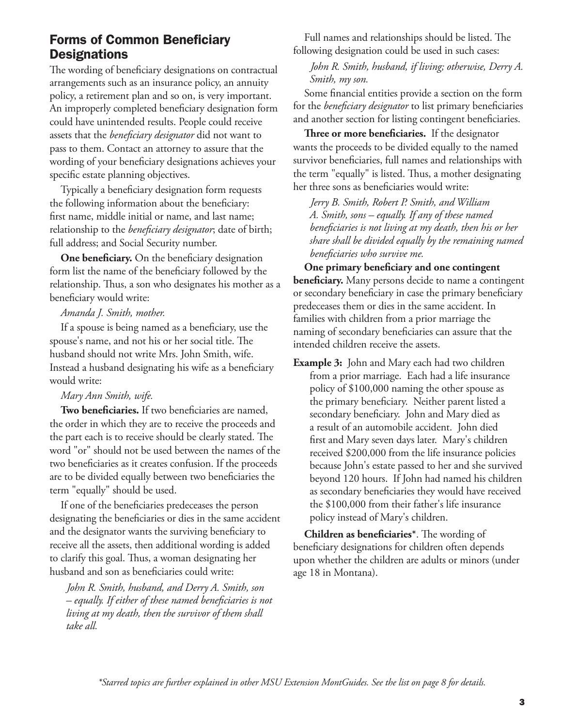### Forms of Common Beneficiary **Designations**

The wording of beneficiary designations on contractual arrangements such as an insurance policy, an annuity policy, a retirement plan and so on, is very important. An improperly completed beneficiary designation form could have unintended results. People could receive assets that the *beneficiary designator* did not want to pass to them. Contact an attorney to assure that the wording of your beneficiary designations achieves your specific estate planning objectives.

Typically a beneficiary designation form requests the following information about the beneficiary: first name, middle initial or name, and last name; relationship to the *beneficiary designator*; date of birth; full address; and Social Security number.

**One beneficiary.** On the beneficiary designation form list the name of the beneficiary followed by the relationship. Thus, a son who designates his mother as a beneficiary would write:

#### *Amanda J. Smith, mother.*

If a spouse is being named as a beneficiary, use the spouse's name, and not his or her social title. The husband should not write Mrs. John Smith, wife. Instead a husband designating his wife as a beneficiary would write:

#### *Mary Ann Smith, wife.*

**Two beneficiaries.** If two beneficiaries are named, the order in which they are to receive the proceeds and the part each is to receive should be clearly stated. The word "or" should not be used between the names of the two beneficiaries as it creates confusion. If the proceeds are to be divided equally between two beneficiaries the term "equally" should be used.

If one of the beneficiaries predeceases the person designating the beneficiaries or dies in the same accident and the designator wants the surviving beneficiary to receive all the assets, then additional wording is added to clarify this goal. Thus, a woman designating her husband and son as beneficiaries could write:

 *John R. Smith, husband, and Derry A. Smith, son – equally. If either of these named beneficiaries is not living at my death, then the survivor of them shall take all.*

Full names and relationships should be listed. The following designation could be used in such cases:

 *John R. Smith, husband, if living; otherwise, Derry A. Smith, my son.*

Some financial entities provide a section on the form for the *beneficiary designator* to list primary beneficiaries and another section for listing contingent beneficiaries.

**Three or more beneficiaries.** If the designator wants the proceeds to be divided equally to the named survivor beneficiaries, full names and relationships with the term "equally" is listed. Thus, a mother designating her three sons as beneficiaries would write:

 *Jerry B. Smith, Robert P. Smith, and William A. Smith, sons – equally. If any of these named beneficiaries is not living at my death, then his or her share shall be divided equally by the remaining named beneficiaries who survive me.*

**One primary beneficiary and one contingent beneficiary.** Many persons decide to name a contingent or secondary beneficiary in case the primary beneficiary predeceases them or dies in the same accident. In families with children from a prior marriage the naming of secondary beneficiaries can assure that the intended children receive the assets.

**Example 3:** John and Mary each had two children from a prior marriage. Each had a life insurance policy of \$100,000 naming the other spouse as the primary beneficiary. Neither parent listed a secondary beneficiary. John and Mary died as a result of an automobile accident. John died first and Mary seven days later. Mary's children received \$200,000 from the life insurance policies because John's estate passed to her and she survived beyond 120 hours. If John had named his children as secondary beneficiaries they would have received the \$100,000 from their father's life insurance policy instead of Mary's children.

**Children as beneficiaries\***. The wording of beneficiary designations for children often depends upon whether the children are adults or minors (under age 18 in Montana).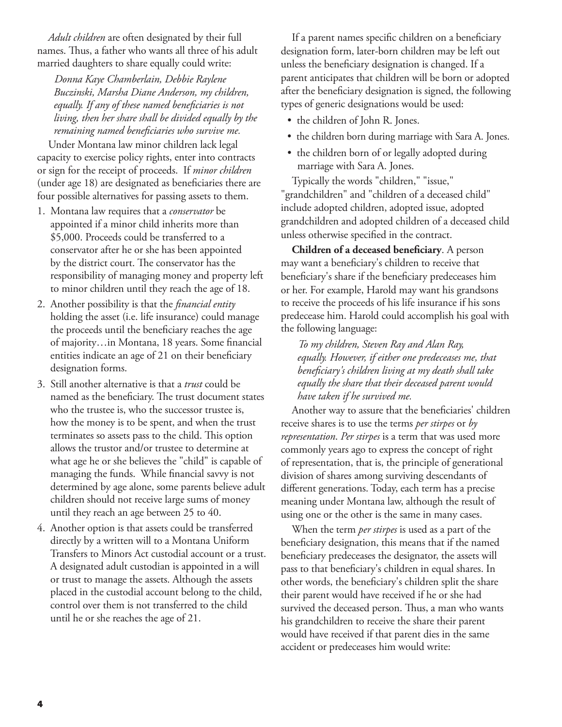*Adult children* are often designated by their full names. Thus, a father who wants all three of his adult married daughters to share equally could write:

 *Donna Kaye Chamberlain, Debbie Raylene Buczinski, Marsha Diane Anderson, my children, equally. If any of these named beneficiaries is not living, then her share shall be divided equally by the remaining named beneficiaries who survive me.*

Under Montana law minor children lack legal capacity to exercise policy rights, enter into contracts or sign for the receipt of proceeds. If *minor children* (under age 18) are designated as beneficiaries there are four possible alternatives for passing assets to them.

- 1. Montana law requires that a *conservator* be appointed if a minor child inherits more than \$5,000. Proceeds could be transferred to a conservator after he or she has been appointed by the district court. The conservator has the responsibility of managing money and property left to minor children until they reach the age of 18.
- 2. Another possibility is that the *financial entity* holding the asset (i.e. life insurance) could manage the proceeds until the beneficiary reaches the age of majority…in Montana, 18 years. Some financial entities indicate an age of 21 on their beneficiary designation forms.
- 3. Still another alternative is that a *trust* could be named as the beneficiary. The trust document states who the trustee is, who the successor trustee is, how the money is to be spent, and when the trust terminates so assets pass to the child. This option allows the trustor and/or trustee to determine at what age he or she believes the "child" is capable of managing the funds. While financial savvy is not determined by age alone, some parents believe adult children should not receive large sums of money until they reach an age between 25 to 40.
- 4. Another option is that assets could be transferred directly by a written will to a Montana Uniform Transfers to Minors Act custodial account or a trust. A designated adult custodian is appointed in a will or trust to manage the assets. Although the assets placed in the custodial account belong to the child, control over them is not transferred to the child until he or she reaches the age of 21.

If a parent names specific children on a beneficiary designation form, later-born children may be left out unless the beneficiary designation is changed. If a parent anticipates that children will be born or adopted after the beneficiary designation is signed, the following types of generic designations would be used:

- the children of John R. Jones.
- the children born during marriage with Sara A. Jones.
- the children born of or legally adopted during marriage with Sara A. Jones.

Typically the words "children," "issue," "grandchildren" and "children of a deceased child" include adopted children, adopted issue, adopted grandchildren and adopted children of a deceased child unless otherwise specified in the contract.

**Children of a deceased beneficiary**. A person may want a beneficiary's children to receive that beneficiary's share if the beneficiary predeceases him or her. For example, Harold may want his grandsons to receive the proceeds of his life insurance if his sons predecease him. Harold could accomplish his goal with the following language:

 *To my children, Steven Ray and Alan Ray, equally. However, if either one predeceases me, that beneficiary's children living at my death shall take equally the share that their deceased parent would have taken if he survived me.*

Another way to assure that the beneficiaries' children receive shares is to use the terms *per stirpes* or *by representation*. *Per stirpes* is a term that was used more commonly years ago to express the concept of right of representation, that is, the principle of generational division of shares among surviving descendants of different generations. Today, each term has a precise meaning under Montana law, although the result of using one or the other is the same in many cases.

When the term *per stirpes* is used as a part of the beneficiary designation, this means that if the named beneficiary predeceases the designator, the assets will pass to that beneficiary's children in equal shares. In other words, the beneficiary's children split the share their parent would have received if he or she had survived the deceased person. Thus, a man who wants his grandchildren to receive the share their parent would have received if that parent dies in the same accident or predeceases him would write: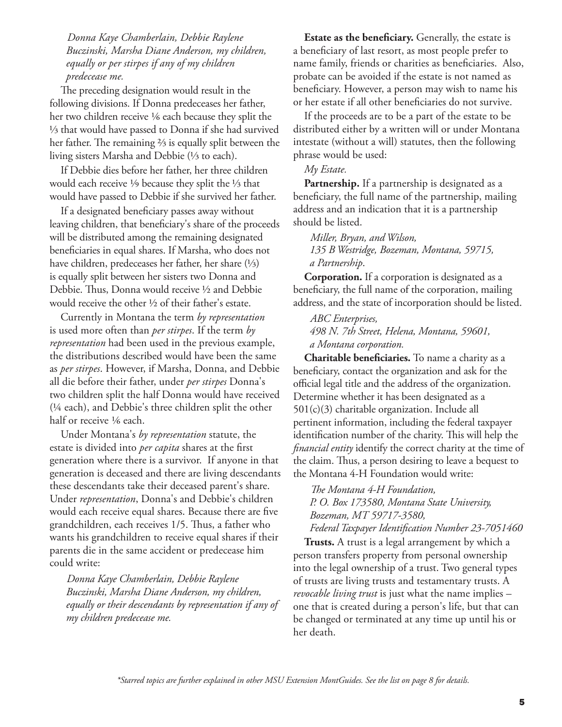*Donna Kaye Chamberlain, Debbie Raylene Buczinski, Marsha Diane Anderson, my children, equally or per stirpes if any of my children predecease me.* 

The preceding designation would result in the following divisions. If Donna predeceases her father, her two children receive 1⁄6 each because they split the ⅓ that would have passed to Donna if she had survived her father. The remaining ⅔ is equally split between the living sisters Marsha and Debbie (⅓ to each).

If Debbie dies before her father, her three children would each receive 1⁄9 because they split the ⅓ that would have passed to Debbie if she survived her father.

If a designated beneficiary passes away without leaving children, that beneficiary's share of the proceeds will be distributed among the remaining designated beneficiaries in equal shares. If Marsha, who does not have children, predeceases her father, her share (⅓) is equally split between her sisters two Donna and Debbie. Thus, Donna would receive ½ and Debbie would receive the other ½ of their father's estate.

Currently in Montana the term *by representation* is used more often than *per stirpes*. If the term *by representation* had been used in the previous example, the distributions described would have been the same as *per stirpes*. However, if Marsha, Donna, and Debbie all die before their father, under *per stirpes* Donna's two children split the half Donna would have received (¼ each), and Debbie's three children split the other half or receive 1/6 each.

Under Montana's *by representation* statute, the estate is divided into *per capita* shares at the first generation where there is a survivor. If anyone in that generation is deceased and there are living descendants these descendants take their deceased parent's share. Under *representation*, Donna's and Debbie's children would each receive equal shares. Because there are five grandchildren, each receives 1/5. Thus, a father who wants his grandchildren to receive equal shares if their parents die in the same accident or predecease him could write:

 *Donna Kaye Chamberlain, Debbie Raylene Buczinski, Marsha Diane Anderson, my children, equally or their descendants by representation if any of my children predecease me.*

**Estate as the beneficiary.** Generally, the estate is a beneficiary of last resort, as most people prefer to name family, friends or charities as beneficiaries. Also, probate can be avoided if the estate is not named as beneficiary. However, a person may wish to name his or her estate if all other beneficiaries do not survive.

If the proceeds are to be a part of the estate to be distributed either by a written will or under Montana intestate (without a will) statutes, then the following phrase would be used:

#### *My Estate.*

**Partnership.** If a partnership is designated as a beneficiary, the full name of the partnership, mailing address and an indication that it is a partnership should be listed.

 *Miller, Bryan, and Wilson, 135 B Westridge, Bozeman, Montana, 59715, a Partnership*.

**Corporation.** If a corporation is designated as a beneficiary, the full name of the corporation, mailing address, and the state of incorporation should be listed.

 *ABC Enterprises, 498 N. 7th Street, Helena, Montana, 59601, a Montana corporation.*

**Charitable beneficiaries.** To name a charity as a beneficiary, contact the organization and ask for the official legal title and the address of the organization. Determine whether it has been designated as a 501(c)(3) charitable organization. Include all pertinent information, including the federal taxpayer identification number of the charity. This will help the *financial entity* identify the correct charity at the time of the claim. Thus, a person desiring to leave a bequest to the Montana 4-H Foundation would write:

*The Montana 4-H Foundation,* 

*P. O. Box 173580, Montana State University, Bozeman, MT 59717-3580,* 

*Federal Taxpayer Identification Number 23-7051460* 

**Trusts.** A trust is a legal arrangement by which a person transfers property from personal ownership into the legal ownership of a trust. Two general types of trusts are living trusts and testamentary trusts. A *revocable living trust* is just what the name implies – one that is created during a person's life, but that can be changed or terminated at any time up until his or her death.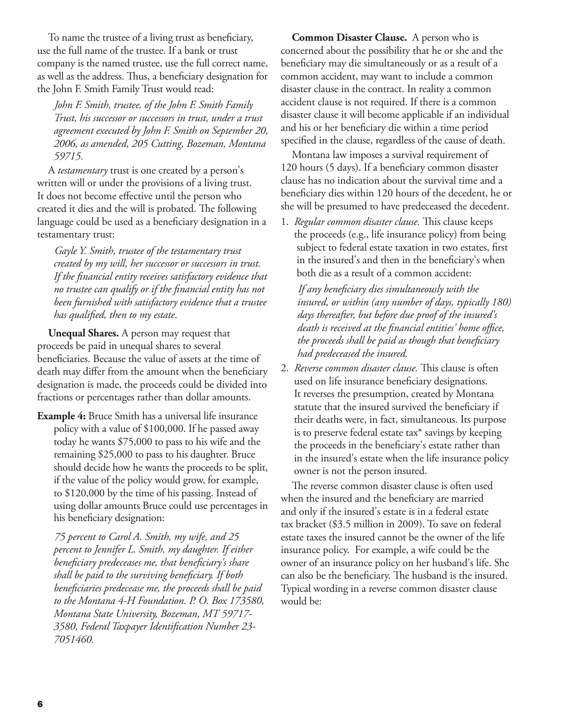To name the trustee of a living trust as beneficiary, use the full name of the trustee. If a bank or trust company is the named trustee, use the full correct name, as well as the address. Thus, a beneficiary designation for the John F. Smith Family Trust would read:

 *John F. Smith, trustee, of the John F. Smith Family Trust, his successor or successors in trust, under a trust agreement executed by John F. Smith on September 20, 2006, as amended, 205 Cutting, Bozeman, Montana 59715*.

A *testamentary* trust is one created by a person's written will or under the provisions of a living trust. It does not become effective until the person who created it dies and the will is probated. The following language could be used as a beneficiary designation in a testamentary trust:

 *Gayle Y. Smith, trustee of the testamentary trust created by my will, her successor or successors in trust. If the financial entity receives satisfactory evidence that no trustee can qualify or if the financial entity has not been furnished with satisfactory evidence that a trustee has qualified, then to my estate*.

**Unequal Shares.** A person may request that proceeds be paid in unequal shares to several beneficiaries. Because the value of assets at the time of death may differ from the amount when the beneficiary designation is made, the proceeds could be divided into fractions or percentages rather than dollar amounts.

**Example 4:** Bruce Smith has a universal life insurance policy with a value of \$100,000. If he passed away today he wants \$75,000 to pass to his wife and the remaining \$25,000 to pass to his daughter. Bruce should decide how he wants the proceeds to be split, if the value of the policy would grow, for example, to \$120,000 by the time of his passing. Instead of using dollar amounts Bruce could use percentages in his beneficiary designation:

 *75 percent to Carol A. Smith, my wife, and 25 percent to Jennifer L. Smith, my daughter. If either beneficiary predeceases me, that beneficiary's share shall be paid to the surviving beneficiary. If both beneficiaries predecease me, the proceeds shall be paid to the Montana 4-H Foundation. P. O. Box 173580, Montana State University, Bozeman, MT 59717- 3580, Federal Taxpayer Identification Number 23- 7051460.* 

**Common Disaster Clause.** A person who is concerned about the possibility that he or she and the beneficiary may die simultaneously or as a result of a common accident, may want to include a common disaster clause in the contract. In reality a common accident clause is not required. If there is a common disaster clause it will become applicable if an individual and his or her beneficiary die within a time period specified in the clause, regardless of the cause of death.

Montana law imposes a survival requirement of 120 hours (5 days). If a beneficiary common disaster clause has no indication about the survival time and a beneficiary dies within 120 hours of the decedent, he or she will be presumed to have predeceased the decedent.

1. *Regular common disaster clause.* This clause keeps the proceeds (e.g., life insurance policy) from being subject to federal estate taxation in two estates, first in the insured's and then in the beneficiary's when both die as a result of a common accident:

 *If any beneficiary dies simultaneously with the insured, or within (any number of days, typically 180) days thereafter, but before due proof of the insured's death is received at the financial entities' home office, the proceeds shall be paid as though that beneficiary had predeceased the insured.*

2. *Reverse common disaster clause.* This clause is often used on life insurance beneficiary designations. It reverses the presumption, created by Montana statute that the insured survived the beneficiary if their deaths were, in fact, simultaneous. Its purpose is to preserve federal estate tax\* savings by keeping the proceeds in the beneficiary's estate rather than in the insured's estate when the life insurance policy owner is not the person insured.

The reverse common disaster clause is often used when the insured and the beneficiary are married and only if the insured's estate is in a federal estate tax bracket (\$3.5 million in 2009). To save on federal estate taxes the insured cannot be the owner of the life insurance policy. For example, a wife could be the owner of an insurance policy on her husband's life. She can also be the beneficiary. The husband is the insured. Typical wording in a reverse common disaster clause would be: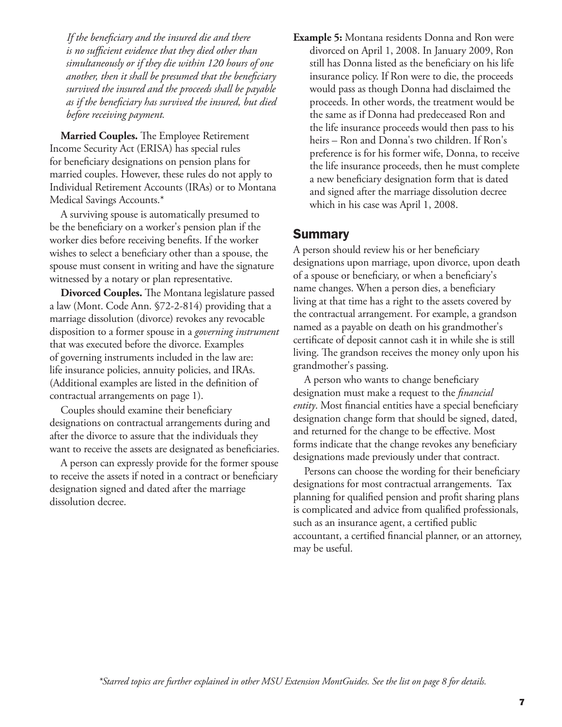*If the beneficiary and the insured die and there is no sufficient evidence that they died other than simultaneously or if they die within 120 hours of one another, then it shall be presumed that the beneficiary survived the insured and the proceeds shall be payable as if the beneficiary has survived the insured, but died before receiving payment.* 

**Married Couples.** The Employee Retirement Income Security Act (ERISA) has special rules for beneficiary designations on pension plans for married couples. However, these rules do not apply to Individual Retirement Accounts (IRAs) or to Montana Medical Savings Accounts.\*

A surviving spouse is automatically presumed to be the beneficiary on a worker's pension plan if the worker dies before receiving benefits. If the worker wishes to select a beneficiary other than a spouse, the spouse must consent in writing and have the signature witnessed by a notary or plan representative.

**Divorced Couples.** The Montana legislature passed a law (Mont. Code Ann. §72-2-814) providing that a marriage dissolution (divorce) revokes any revocable disposition to a former spouse in a *governing instrument* that was executed before the divorce. Examples of governing instruments included in the law are: life insurance policies, annuity policies, and IRAs. (Additional examples are listed in the definition of contractual arrangements on page 1).

Couples should examine their beneficiary designations on contractual arrangements during and after the divorce to assure that the individuals they want to receive the assets are designated as beneficiaries.

A person can expressly provide for the former spouse to receive the assets if noted in a contract or beneficiary designation signed and dated after the marriage dissolution decree.

**Example 5:** Montana residents Donna and Ron were divorced on April 1, 2008. In January 2009, Ron still has Donna listed as the beneficiary on his life insurance policy. If Ron were to die, the proceeds would pass as though Donna had disclaimed the proceeds. In other words, the treatment would be the same as if Donna had predeceased Ron and the life insurance proceeds would then pass to his heirs – Ron and Donna's two children. If Ron's preference is for his former wife, Donna, to receive the life insurance proceeds, then he must complete a new beneficiary designation form that is dated and signed after the marriage dissolution decree which in his case was April 1, 2008.

### Summary

A person should review his or her beneficiary designations upon marriage, upon divorce, upon death of a spouse or beneficiary, or when a beneficiary's name changes. When a person dies, a beneficiary living at that time has a right to the assets covered by the contractual arrangement. For example, a grandson named as a payable on death on his grandmother's certificate of deposit cannot cash it in while she is still living. The grandson receives the money only upon his grandmother's passing.

A person who wants to change beneficiary designation must make a request to the *financial entity*. Most financial entities have a special beneficiary designation change form that should be signed, dated, and returned for the change to be effective. Most forms indicate that the change revokes any beneficiary designations made previously under that contract.

Persons can choose the wording for their beneficiary designations for most contractual arrangements. Tax planning for qualified pension and profit sharing plans is complicated and advice from qualified professionals, such as an insurance agent, a certified public accountant, a certified financial planner, or an attorney, may be useful.